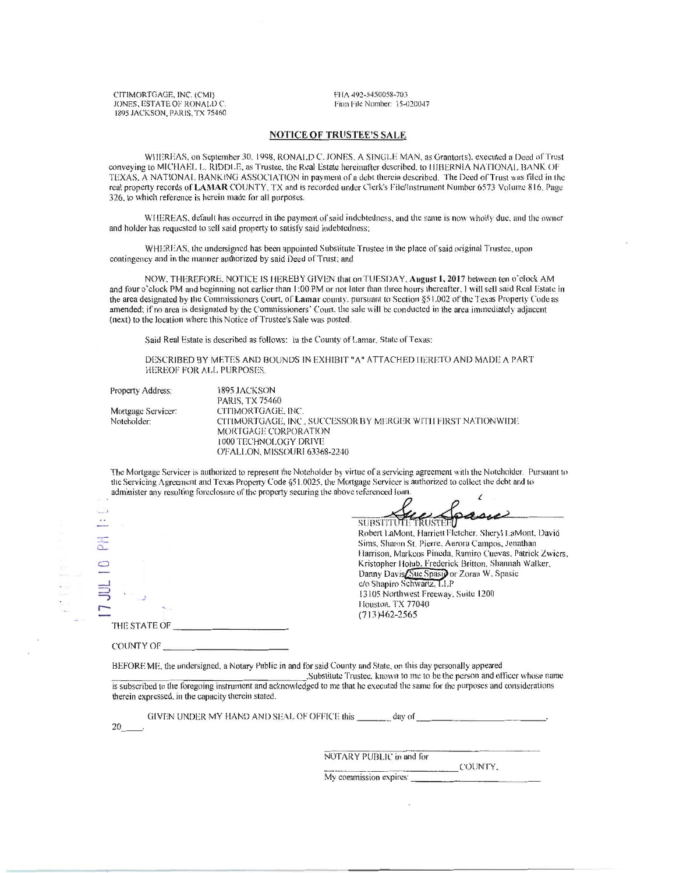CITIMORTGAGE. INC. (CMI) JONES. ESTATE OF RONALD C. 1895 JACKSON. PARIS. TX 75460 FHA 492-5450058-703 Firm File Number: 15-020047

## NOTICE OF TRUSTEE'S SALE

WHEREAS, on September 30, 1998. RONALD C. JONES. A SINGLE MAN, as Grantor(s), executed a Deed of Trust conveying to MICHAEL L. RIDDLE, as Trustee, the Real Estate hereinafter described. to HIBERNIA NATIONAL BANK OF TEXAS, A NATIONAL BANKING ASSOCIATION in payment of a debt therein described. The Deed of Trust was filed in the real propeny records of LAMAR COUNTY. TX and is recorded under Clerk's File/Instrument Number 6573 Volume 816. Page 326, to which reference is herein made for all purposes.

WHEREAS, default has occurred in the payment of said indebtedness, and the same is now wholly due, and the owner and holder has requested to sell said property to satisfy said indebtedness;

WHEREAS, the undersigned has been appointed Substitute Trustee in the place of said original Trustee, upon contingency and in the manner authorized by said Deed of Trust; and

NOW, THEREFORE, NOTICE IS HEREBY GIVEN that on TUESDAY, August 1, 2017 between ten o'clock AM and four o'clock PM and beginning not earlier than 1:00 PM or not later than three hours thereafter, I will sell said Real Estate in the area designated by the Commissioners Court, of Lamar county, pursuant to Section §51.002 of the Texas Property Code as amended; if no area is designated by the Commissioners· Court. the sale will be conducted in the area immediately adjacent (next) to the location where this Notice of Trustee's Sale was posted\_

Said Real Estate is described as follows: In the County of Lamar, State of Texas:

DESCRIBED BY METES AND BOUNDS IN EXHIBIT "A" ATTACHED HERETO AND MADE A PART HEREOF FOR ALL PURPOSES.

Mortgage Servicer: Notcholder:

Property Address: 1895 JACKSON PARIS. TX 75460 CITIMORTGAGE, INC. CITIMORTGAGE. INC., SUCCESSOR BY MERGER WITH FIRST NATIONWIDE MORTGAGE CORPORATION IOOOTECHNOl.OGY DRIVE O'F ALI .ON. MISSOURI 63368-2240

The Mortgage Servicer is authorized to represent the Noteholder by virtue of a servicing agreement with the Noteholder. Pursuant to the Servicing Agreement and Texas Property Code §51.0025, the Mortgage Servicer is authorized to collect the debt and to administer any resulting foreclosure of the property securing the above referenced loan.

|              | SUBSTITUTE TRUSTED                                       |
|--------------|----------------------------------------------------------|
|              | Robert LaMont, Harriett Fletcher, Sheryl LaMont, David   |
|              | Sims, Sharon St. Pierre, Aurora Campos, Jonathan         |
|              | Harrison, Markcos Pineda, Ramiro Cuevas, Patrick Zwiers, |
|              | Kristopher Holub, Frederick Britton, Shannah Walker,     |
|              | Danny Davis Sue Spasio or Zoran W. Spasic                |
|              | c/o Shapiro Schwartz, LLP                                |
|              | 13105 Northwest Freeway, Suite 1200                      |
|              | Houston, TX 77040                                        |
|              | $(713)462 - 2565$                                        |
| THE STATE OF |                                                          |

BEFORE ME, the undersigned, a Notary Public in and for said County and State, on this day personally appeared

.Substitute Trustee, known to me to be the person and officer whose name is subscribed to the foregoing instrument and acknowledged to me that he executed the same for the purposes and considerations therein expressed. in the capacity therein stated.

GIVEN UNDER MY HAND AND SEAL OF OFFICE this \_\_\_\_\_\_\_ day of

20

COUNTY OF

 $\overline{\overline{\overline{a}}}$ Ő

NOTARY PUBLIC in and for <br>COUNTY.

My commission expires: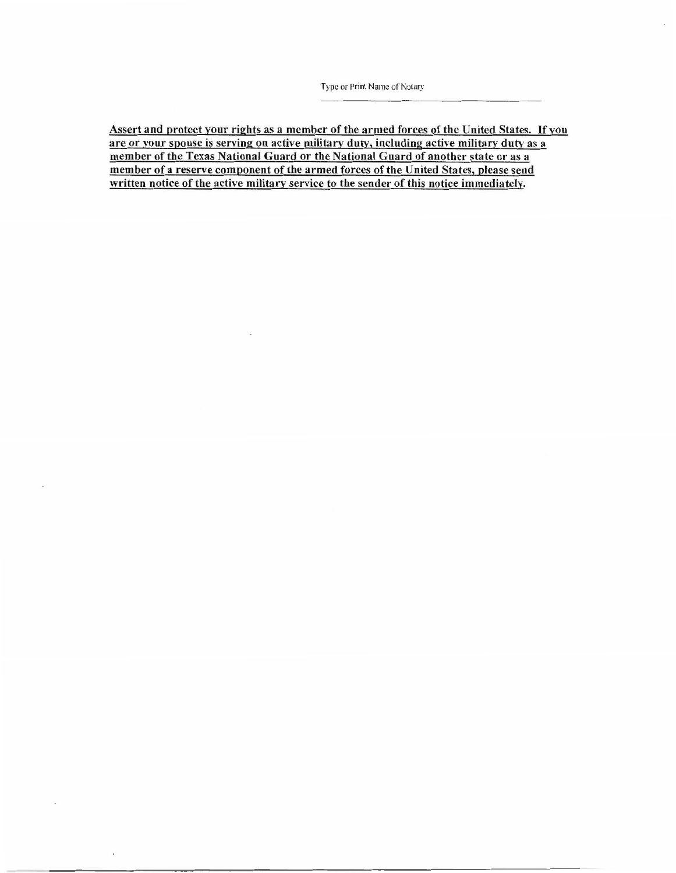Assert and protect your rights as a member of the armed forces of the United States. If you are or your spouse is serving on active military duty, including active military duty as a member of the Texas National Guard or the National Guard of another state or as a member of a reserve component of the armed forces of the United States, please send written notice of the active military service to the sender of this notice immediately.